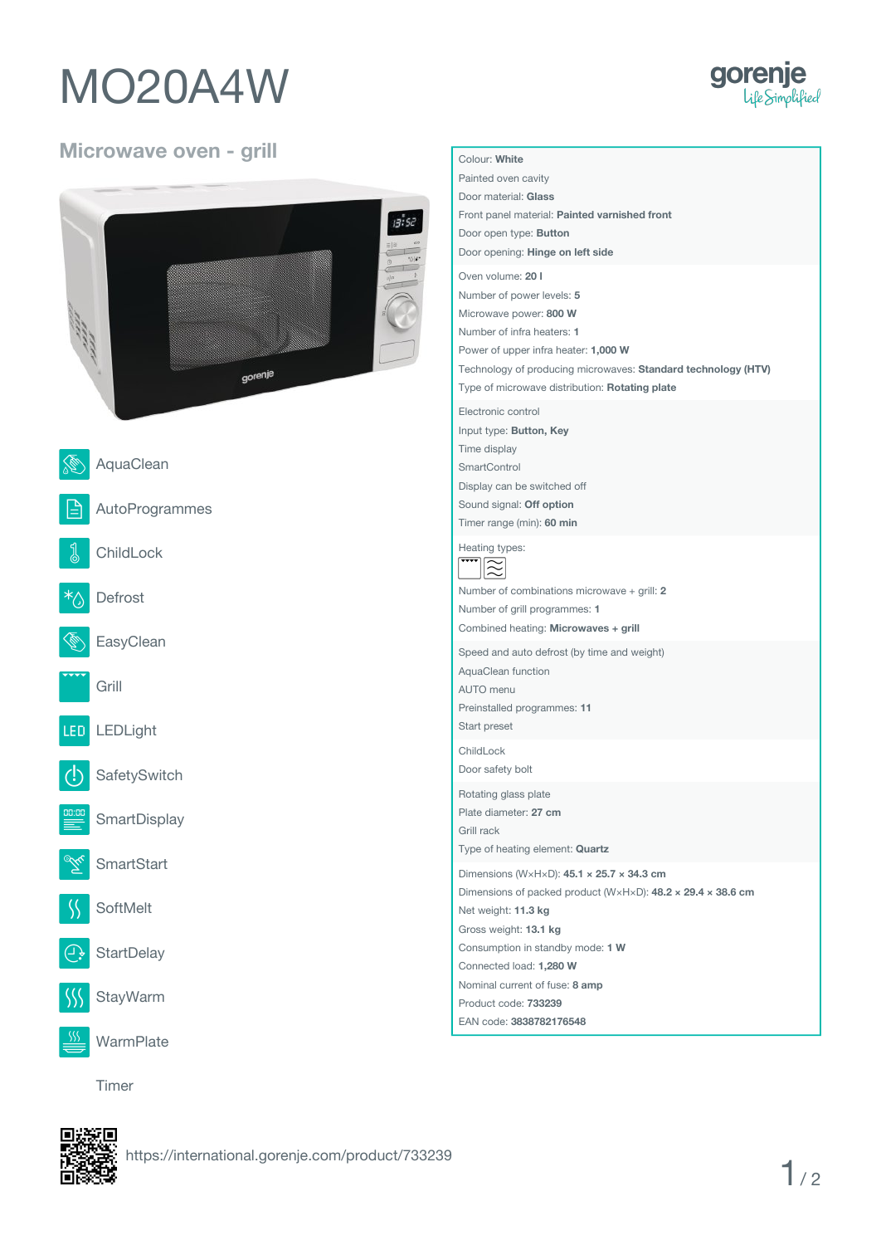## **MO20A4W**



## **Microwave oven - grill**

|                 | 13:52             | Painted oven cavity<br>Door material: Glass<br>Front panel material: Painted varnished front<br>Door open type: Button<br>Door opening: Hinge on left side<br>Oven volume: 20 I<br>Number of power levels: 5    |
|-----------------|-------------------|-----------------------------------------------------------------------------------------------------------------------------------------------------------------------------------------------------------------|
|                 | gorenje           | Microwave power: 800 W<br>Number of infra heaters: 1<br>Power of upper infra heater: 1,000 W<br>Technology of producing microwaves: Standard technology (HTV)<br>Type of microwave distribution: Rotating plate |
|                 |                   | Electronic control<br>Input type: Button, Key                                                                                                                                                                   |
|                 | AquaClean         | Time display<br>SmartControl                                                                                                                                                                                    |
| ≜ا              | AutoProgrammes    | Display can be switched off<br>Sound signal: Off option<br>Timer range (min): 60 min                                                                                                                            |
| $\sqrt[3]{2}$   | ChildLock         | Heating types:<br>$\widetilde{\approx}$                                                                                                                                                                         |
| $\sqrt[k+1]{2}$ | Defrost           | Number of combinations microwave + grill: 2<br>Number of grill programmes: 1                                                                                                                                    |
|                 | EasyClean         | Combined heating: Microwaves + grill<br>Speed and auto defrost (by time and weight)                                                                                                                             |
|                 | Grill             | AquaClean function<br>AUTO menu<br>Preinstalled programmes: 11                                                                                                                                                  |
| LED.            | LEDLight          | Start preset                                                                                                                                                                                                    |
| Œ               | SafetySwitch      | ChildLock<br>Door safety bolt                                                                                                                                                                                   |
| ≣               | SmartDisplay      | Rotating glass plate<br>Plate diameter: 27 cm<br>Grill rack<br>Type of heating element: Quartz                                                                                                                  |
|                 | <b>SmartStart</b> | Dimensions (WxHxD): $45.1 \times 25.7 \times 34.3$ cm                                                                                                                                                           |
|                 | SoftMelt          | Dimensions of packed product (W×H×D): $48.2 \times 29.4 \times 38.6$ cm<br>Net weight: 11.3 kg                                                                                                                  |
| $\bigoplus$     | StartDelay        | Gross weight: 13.1 kg<br>Consumption in standby mode: 1 W<br>Connected load: 1,280 W                                                                                                                            |
|                 | StayWarm          | Nominal current of fuse: 8 amp<br>Product code: 733239<br>EAN code: 3838782176548                                                                                                                               |
| SSS             | WarmPlate         |                                                                                                                                                                                                                 |

**Colour: White**

**Timer**